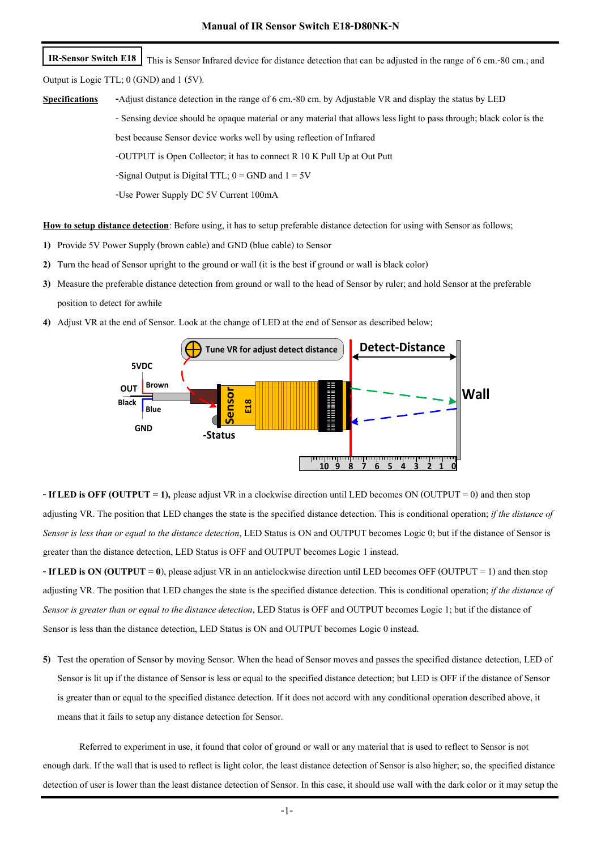This is Sensor Infrared device for distance detection that can be adjusted in the range of 6 cm.-80 cm.; and Output is Logic TTL; 0 (GND) and 1 (5V). **IR-Sensor Switch E18**

**Specifications -**Adjust distance detection in the range of 6 cm.-80 cm. by Adjustable VR and display the status by LED - Sensing device should be opaque material or any material that allows less light to pass through; black color is the best because Sensor device works well by using reflection of Infrared -OUTPUT is Open Collector; it has to connect R 10 K Pull Up at Out Putt -Signal Output is Digital TTL;  $0 =$  GND and  $1 = 5V$ 

-Use Power Supply DC 5V Current 100mA

**How to setup distance detection**: Before using, it has to setup preferable distance detection for using with Sensor as follows;

- **1)** Provide 5V Power Supply (brown cable) and GND (blue cable) to Sensor
- **2)** Turn the head of Sensor upright to the ground or wall (it is the best if ground or wall is black color)
- **3)** Measure the preferable distance detection from ground or wall to the head of Sensor by ruler; and hold Sensor at the preferable position to detect for awhile
- **4)** Adjust VR at the end of Sensor. Look at the change of LED at the end of Sensor as described below;



**- If LED is OFF (OUTPUT = 1),** please adjust VR in a clockwise direction until LED becomes ON (OUTPUT = 0) and then stop adjusting VR. The position that LED changes the state is the specified distance detection. This is conditional operation; *if the distance of Sensor is less than or equal to the distance detection*, LED Status is ON and OUTPUT becomes Logic 0; but if the distance of Sensor is greater than the distance detection, LED Status is OFF and OUTPUT becomes Logic 1 instead.

**- If LED is ON (OUTPUT = 0**), please adjust VR in an anticlockwise direction until LED becomes OFF (OUTPUT = 1) and then stop adjusting VR. The position that LED changes the state is the specified distance detection. This is conditional operation; *if the distance of Sensor is greater than or equal to the distance detection*, LED Status is OFF and OUTPUT becomes Logic 1; but if the distance of Sensor is less than the distance detection, LED Status is ON and OUTPUT becomes Logic 0 instead.

**5)** Test the operation of Sensor by moving Sensor. When the head of Sensor moves and passes the specified distance detection, LED of Sensor is lit up if the distance of Sensor is less or equal to the specified distance detection; but LED is OFF if the distance of Sensor is greater than or equal to the specified distance detection. If it does not accord with any conditional operation described above, it means that it fails to setup any distance detection for Sensor.

Referred to experiment in use, it found that color of ground or wall or any material that is used to reflect to Sensor is not enough dark. If the wall that is used to reflect is light color, the least distance detection of Sensor is also higher; so, the specified distance detection of user is lower than the least distance detection of Sensor. In this case, it should use wall with the dark color or it may setup the